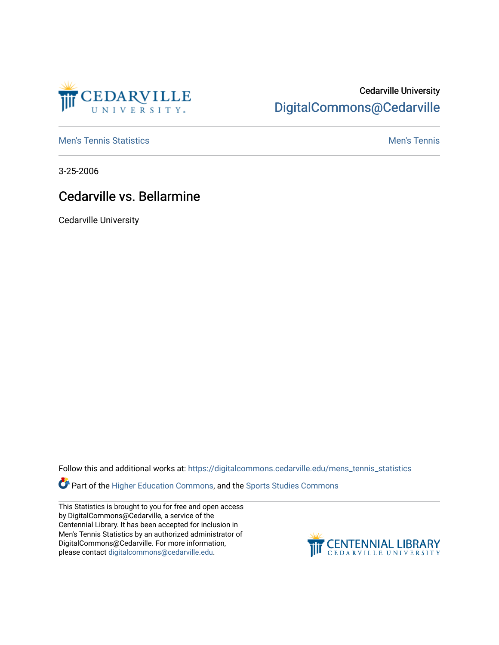

## Cedarville University [DigitalCommons@Cedarville](https://digitalcommons.cedarville.edu/)

**[Men's Tennis Statistics](https://digitalcommons.cedarville.edu/mens_tennis_statistics) Mental According to the Control of Control According Mental Men's Tennis** 

3-25-2006

## Cedarville vs. Bellarmine

Cedarville University

Follow this and additional works at: [https://digitalcommons.cedarville.edu/mens\\_tennis\\_statistics](https://digitalcommons.cedarville.edu/mens_tennis_statistics?utm_source=digitalcommons.cedarville.edu%2Fmens_tennis_statistics%2F638&utm_medium=PDF&utm_campaign=PDFCoverPages)

Part of the [Higher Education Commons,](http://network.bepress.com/hgg/discipline/1245?utm_source=digitalcommons.cedarville.edu%2Fmens_tennis_statistics%2F638&utm_medium=PDF&utm_campaign=PDFCoverPages) and the [Sports Studies Commons](http://network.bepress.com/hgg/discipline/1198?utm_source=digitalcommons.cedarville.edu%2Fmens_tennis_statistics%2F638&utm_medium=PDF&utm_campaign=PDFCoverPages) 

This Statistics is brought to you for free and open access by DigitalCommons@Cedarville, a service of the Centennial Library. It has been accepted for inclusion in Men's Tennis Statistics by an authorized administrator of DigitalCommons@Cedarville. For more information, please contact [digitalcommons@cedarville.edu](mailto:digitalcommons@cedarville.edu).